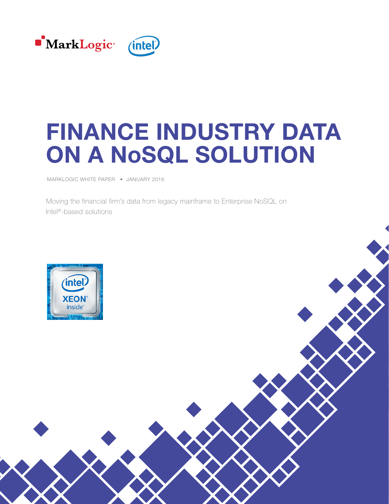

# FINANCE INDUSTRY DATA ON A NoSQL SOLUTION

MARKLOGIC WHITE PAPER • JANUARY 2016

Moving the financial firm's data from legacy mainframe to Enterprise NoSQL on Intel®-based solutions

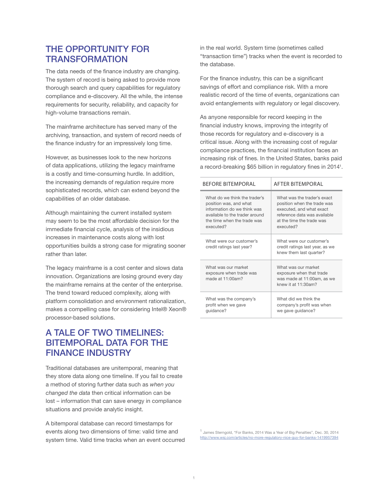### THE OPPORTUNITY FOR **TRANSFORMATION**

The data needs of the finance industry are changing. The system of record is being asked to provide more thorough search and query capabilities for regulatory compliance and e-discovery. All the while, the intense requirements for security, reliability, and capacity for high-volume transactions remain.

The mainframe architecture has served many of the archiving, transaction, and system of record needs of the finance industry for an impressively long time.

However, as businesses look to the new horizons of data applications, utilizing the legacy mainframe is a costly and time-consuming hurdle. In addition, the increasing demands of regulation require more sophisticated records, which can extend beyond the capabilities of an older database.

Although maintaining the current installed system may seem to be the most affordable decision for the immediate financial cycle, analysis of the insidious increases in maintenance costs along with lost opportunities builds a strong case for migrating sooner rather than later.

The legacy mainframe is a cost center and slows data innovation. Organizations are losing ground every day the mainframe remains at the center of the enterprise. The trend toward reduced complexity, along with platform consolidation and environment rationalization, makes a compelling case for considering Intel® Xeon® processor-based solutions.

### A TALE OF TWO TIMELINES: BITEMPORAL DATA FOR THE FINANCE INDUSTRY

Traditional databases are unitemporal, meaning that they store data along one timeline. If you fail to create a method of storing further data such as *when you changed the data* then critical information can be lost – information that can save energy in compliance situations and provide analytic insight.

A bitemporal database can record timestamps for events along two dimensions of time: valid time and system time. Valid time tracks when an event occurred in the real world. System time (sometimes called "transaction time") tracks when the event is recorded to the database.

For the finance industry, this can be a significant savings of effort and compliance risk. With a more realistic record of the time of events, organizations can avoid entanglements with regulatory or legal discovery.

As anyone responsible for record keeping in the financial industry knows, improving the integrity of those records for regulatory and e-discovery is a critical issue. Along with the increasing cost of regular compliance practices, the financial institution faces an increasing risk of fines. In the United States, banks paid a record-breaking \$65 billion in regulatory fines in 2014<sup>1</sup>.

| <b>BEFORE BITEMPORAL</b>                                                                                                                                             | <b>AFTER BITEMPORAL</b>                                                                                                                                          |
|----------------------------------------------------------------------------------------------------------------------------------------------------------------------|------------------------------------------------------------------------------------------------------------------------------------------------------------------|
| What do we think the trader's<br>position was, and what<br>information do we think was<br>available to the trader around<br>the time when the trade was<br>executed? | What was the trader's exact<br>position when the trade was<br>executed, and what exact<br>reference data was available<br>at the time the trade was<br>executed? |
| What were our customer's<br>credit ratings last year?                                                                                                                | What were our customer's<br>credit ratings last year, as we<br>knew them last quarter?                                                                           |
| What was our market<br>exposure when trade was<br>made at $11:00$ am?                                                                                                | What was our market<br>exposure when that trade<br>was made at 11:00am, as we<br>knew it at $11:30$ am?                                                          |
| What was the company's<br>profit when we gave<br>quidance?                                                                                                           | What did we think the<br>company's profit was when<br>we gave guidance?                                                                                          |

<sup>1</sup> James Sterngold, "For Banks, 2014 Was a Year of Big Penalties", Dec. 30, 2014 <http://www.wsj.com/articles/no-more-regulatory-nice-guy-for-banks-1419957394>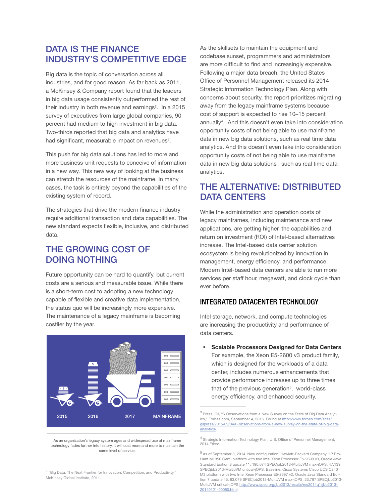### DATA IS THE FINANCE INDUSTRY'S COMPETITIVE EDGE

Big data is the topic of conversation across all industries, and for good reason. As far back as 2011, a McKinsey & Company report found that the leaders in big data usage consistently outperformed the rest of their industry in both revenue and earnings<sup>2</sup>. In a 2015 survey of executives from large global companies, 90 percent had medium to high investment in big data. Two-thirds reported that big data and analytics have had significant, measurable impact on revenues<sup>3</sup>.

This push for big data solutions has led to more and more business-unit requests to conceive of information in a new way. This new way of looking at the business can stretch the resources of the mainframe. In many cases, the task is entirely beyond the capabilities of the existing system of record.

The strategies that drive the modern finance industry require additional transaction and data capabilities. The new standard expects flexible, inclusive, and distributed data.

# THE GROWING COST OF DOING NOTHING

Future opportunity can be hard to quantify, but current costs are a serious and measurable issue. While there is a short-term cost to adopting a new technology capable of flexible and creative data implementation, the status quo will be increasingly more expensive. The maintenance of a legacy mainframe is becoming costlier by the year.



As an organization's legacy system ages and widespread use of mainframe technology fades further into history, it will cost more and more to maintain the same level of service.

<sup>2</sup> "Big Data, The Next Frontier for Innovation, Competition, and Productivity," McKinsey Global Institute, 2011.

As the skillsets to maintain the equipment and codebase sunset, programmers and administrators are more difficult to find and increasingly expensive. Following a major data breach, the United States Office of Personnel Management released its 2014 Strategic Information Technology Plan. Along with concerns about security, the report prioritizes migrating away from the legacy mainframe systems because cost of support is expected to rise 10–15 percent annually<sup>4</sup>. And this doesn't even take into consideration opportunity costs of not being able to use mainframe data in new big data solutions, such as real time data analytics. And this doesn't even take into consideration opportunity costs of not being able to use mainframe data in new big data solutions , such as real time data analytics.

### THE ALTERNATIVE: DISTRIBUTED DATA CENTERS

While the administration and operation costs of legacy mainframes, including maintenance and new applications, are getting higher, the capabilities and return on investment (ROI) of Intel-based alternatives increase. The Intel-based data center solution ecosystem is being revolutionized by innovation in management, energy efficiency, and performance. Modern Intel-based data centers are able to run more services per staff hour, megawatt, and clock cycle than ever before.

### INTEGRATED DATACENTER TECHNOLOGY

Intel storage, network, and compute technologies are increasing the productivity and performance of data centers.

• Scalable Processors Designed for Data Centers For example, the Xeon E5-2600 v3 product family, which is designed for the workloads of a data center, includes numerous enhancements that provide performance increases up to three times that of the previous generation<sup>5</sup>, world-class energy efficiency, and enhanced security.

<sup>3</sup> Press, Gil, "6 Observations from a New Survey on the State of Big Data Analytics," Forbes.com, September 4, 2015. Found at [http://www.forbes.com/sites/](http://www.forbes.com/sites/gilpress/2015/09/04/6-observations-from-a-new-survey-on-the-state-of-big-data-analytics/) [gilpress/2015/09/04/6-observations-from-a-new-survey-on-the-state-of-big-data](http://www.forbes.com/sites/gilpress/2015/09/04/6-observations-from-a-new-survey-on-the-state-of-big-data-analytics/)[analytics/.](http://www.forbes.com/sites/gilpress/2015/09/04/6-observations-from-a-new-survey-on-the-state-of-big-data-analytics/)

<sup>4</sup> Strategic Information Technology Plan, U.S. Office of Personnel Management, 2014 Ftics/.

<sup>5</sup> As of September 8, 2014. New configuration: Hewlett-Packard Company HP Pro-Liant ML350 Gen9 platform with two Intel Xeon Processor E5-2699 v3, Oracle Java Standard Edition 8 update 11, 190,674 SPECjbb2013-MultiJVM max-jOPS, 47,139 SPECjbb2013-MultiJVM critical-jOPS. Baseline: Cisco Systems Cisco UCS C240 M3 platform with two Intel Xeon Processor E5-2697 v2, Oracle Java Standard Edition 7 update 45, 63,079 SPECjbb2013-MultiJVM max-jOPS, 23,797 SPECjbb2013- MultiJVM critical-jOPS [http://www.spec.org/jbb2013/results/res2014q1/jbb2013-](http://www.spec.org/jbb2013/results/res2014q1/jbb2013-20140121-00050.html) [20140121-00050.html](http://www.spec.org/jbb2013/results/res2014q1/jbb2013-20140121-00050.html).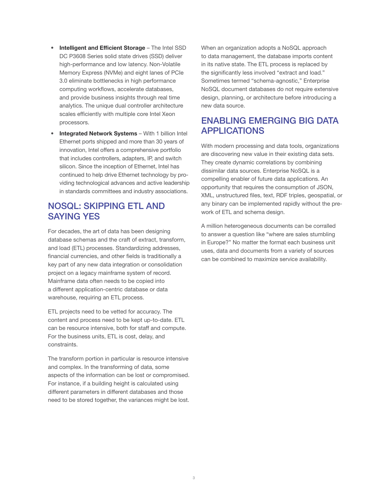- Intelligent and Efficient Storage The Intel SSD DC P3608 Series solid state drives (SSD) deliver high-performance and low latency. Non-Volatile Memory Express (NVMe) and eight lanes of PCIe 3.0 eliminate bottlenecks in high performance computing workflows, accelerate databases, and provide business insights through real time analytics. The unique dual controller architecture scales efficiently with multiple core Intel Xeon processors.
- Integrated Network Systems With 1 billion Intel Ethernet ports shipped and more than 30 years of innovation, Intel offers a comprehensive portfolio that includes controllers, adapters, IP, and switch silicon. Since the inception of Ethernet, Intel has continued to help drive Ethernet technology by providing technological advances and active leadership in standards committees and industry associations.

### NOSQL: SKIPPING ETL AND SAYING YES

For decades, the art of data has been designing database schemas and the craft of extract, transform, and load (ETL) processes. Standardizing addresses, financial currencies, and other fields is traditionally a key part of any new data integration or consolidation project on a legacy mainframe system of record. Mainframe data often needs to be copied into a different application-centric database or data warehouse, requiring an ETL process.

ETL projects need to be vetted for accuracy. The content and process need to be kept up-to-date. ETL can be resource intensive, both for staff and compute. For the business units, ETL is cost, delay, and constraints.

The transform portion in particular is resource intensive and complex. In the transforming of data, some aspects of the information can be lost or compromised. For instance, if a building height is calculated using different parameters in different databases and those need to be stored together, the variances might be lost.

When an organization adopts a NoSQL approach to data management, the database imports content in its native state. The ETL process is replaced by the significantly less involved "extract and load." Sometimes termed "schema-agnostic," Enterprise NoSQL document databases do not require extensive design, planning, or architecture before introducing a new data source.

### ENABLING EMERGING BIG DATA APPLICATIONS

With modern processing and data tools, organizations are discovering new value in their existing data sets. They create dynamic correlations by combining dissimilar data sources. Enterprise NoSQL is a compelling enabler of future data applications. An opportunity that requires the consumption of JSON, XML, unstructured files, text, RDF triples, geospatial, or any binary can be implemented rapidly without the prework of ETL and schema design.

A million heterogeneous documents can be corralled to answer a question like "where are sales stumbling in Europe?" No matter the format each business unit uses, data and documents from a variety of sources can be combined to maximize service availability.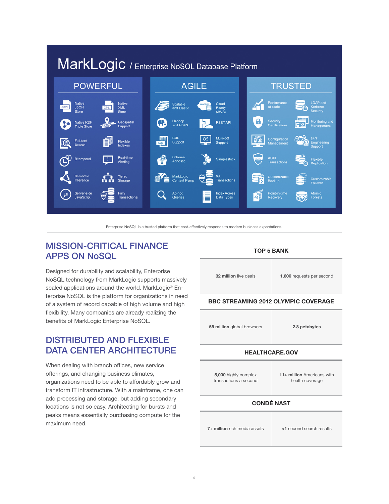

Enterprise NoSQL is a trusted platform that cost-effectively responds to modern business expectations.

# MISSION-CRITICAL FINANCE APPS ON NoSQL

Designed for durability and scalability, Enterprise NoSQL technology from MarkLogic supports massively scaled applications around the world. MarkLogic<sup>®</sup> Enterprise NoSQL is the platform for organizations in need of a system of record capable of high volume and high flexibility. Many companies are already realizing the benefits of MarkLogic Enterprise NoSQL.

# DISTRIBUTED AND FLEXIBLE DATA CENTER ARCHITECTURE

When dealing with branch offices, new service offerings, and changing business climates, organizations need to be able to affordably grow and transform IT infrastructure. With a mainframe, one can add processing and storage, but adding secondary locations is not so easy. Architecting for bursts and peaks means essentially purchasing compute for the maximum need.

#### TOP 5 BANK

32 million live deals 1,600 requests per second

#### BBC STREAMING 2012 OLYMPIC COVERAGE

55 million global browsers 2.8 petabytes

#### HEALTHCARE.GOV

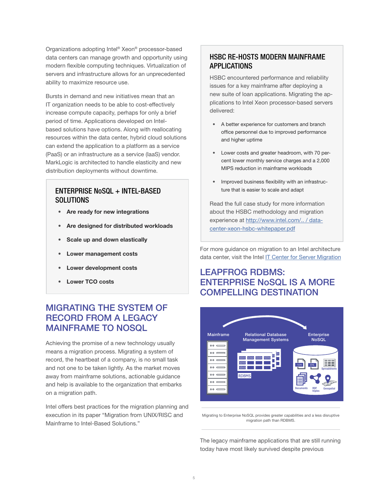Organizations adopting Intel® Xeon® processor-based data centers can manage growth and opportunity using modern flexible computing techniques. Virtualization of servers and infrastructure allows for an unprecedented ability to maximize resource use.

Bursts in demand and new initiatives mean that an IT organization needs to be able to cost-effectively increase compute capacity, perhaps for only a brief period of time. Applications developed on Intelbased solutions have options. Along with reallocating resources within the data center, hybrid cloud solutions can extend the application to a platform as a service (PaaS) or an infrastructure as a service (IaaS) vendor. MarkLogic is architected to handle elasticity and new distribution deployments without downtime.

### ENTERPRISE NoSQL + INTEL-BASED **SOLUTIONS**

- Are ready for new integrations
- Are designed for distributed workloads
- Scale up and down elastically
- Lower management costs
- Lower development costs
- Lower TCO costs

# MIGRATING THE SYSTEM OF RECORD FROM A LEGACY MAINFRAME TO NOSQL

Achieving the promise of a new technology usually means a migration process. Migrating a system of record, the heartbeat of a company, is no small task and not one to be taken lightly. As the market moves away from mainframe solutions, actionable guidance and help is available to the organization that embarks on a migration path.

Intel offers best practices for the migration planning and execution in its paper "Migration from UNIX/RISC and Mainframe to Intel-Based Solutions."

### HSBC RE-HOSTS MODERN MAINFRAME APPLICATIONS

HSBC encountered performance and reliability issues for a key mainframe after deploying a new suite of loan applications. Migrating the applications to Intel Xeon processor-based servers delivered:

- A better experience for customers and branch office personnel due to improved performance and higher uptime
- Lower costs and greater headroom, with 70 percent lower monthly service charges and a 2,000 MIPS reduction in mainframe workloads
- Improved business flexibility with an infrastructure that is easier to scale and adapt

Read the full case study for more information about the HSBC methodology and migration experience at [http://www.intel.com/](http://www.intel.com/content/dam/www/public/us/en/documents/white-papers/data-center-xeon-hsbc-whitepaper.pdf).. / datacenter-xeon-hsbc-whitepaper.pdf

For more guidance on migration to an Intel architecture data center, visit the Intel [IT Center for Server Migration](http://www.intel.com/content/www/us/en/mission-critical/mission-critical-meeting-todays-it-challenges.html)

# LEAPFROG RDBMS: ENTERPRISE NoSQL IS A MORE COMPELLING DESTINATION



Migrating to Enterprise NoSQL provides greater capabilities and a less disruptive migration path than RDBMS.

The legacy mainframe applications that are still running today have most likely survived despite previous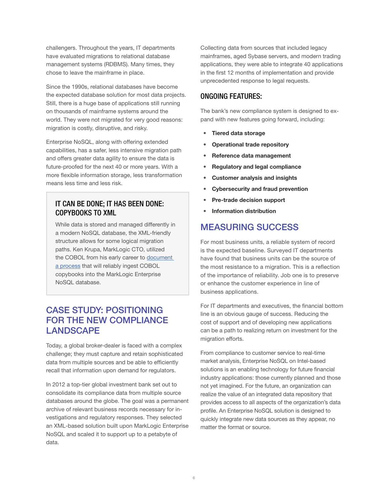challengers. Throughout the years, IT departments have evaluated migrations to relational database management systems (RDBMS). Many times, they chose to leave the mainframe in place.

Since the 1990s, relational databases have become the expected database solution for most data projects. Still, there is a huge base of applications still running on thousands of mainframe systems around the world. They were not migrated for very good reasons: migration is costly, disruptive, and risky.

Enterprise NoSQL, along with offering extended capabilities, has a safer, less intensive migration path and offers greater data agility to ensure the data is future-proofed for the next 40 or more years. With a more flexible information storage, less transformation means less time and less risk.

### IT CAN BE DONE; IT HAS BEEN DONE: COPYBOOKS TO XML

While data is stored and managed differently in a modern NoSQL database, the XML-friendly structure allows for some logical migration paths. Ken Krupa, MarkLogic CTO, utilized the COBOL from his early career to [document](https://kenkrupa.wordpress.com/2014/02/26/from-mainframe-to-nosql-part-1/)  [a process](https://kenkrupa.wordpress.com/2014/02/26/from-mainframe-to-nosql-part-1/) that will reliably ingest COBOL copybooks into the MarkLogic Enterprise NoSQL database.

### CASE STUDY: POSITIONING FOR THE NEW COMPLIANCE LANDSCAPE

Today, a global broker-dealer is faced with a complex challenge; they must capture and retain sophisticated data from multiple sources and be able to efficiently recall that information upon demand for regulators.

In 2012 a top-tier global investment bank set out to consolidate its compliance data from multiple source databases around the globe. The goal was a permanent archive of relevant business records necessary for investigations and regulatory responses. They selected an XML-based solution built upon MarkLogic Enterprise NoSQL and scaled it to support up to a petabyte of data.

Collecting data from sources that included legacy mainframes, aged Sybase servers, and modern trading applications, they were able to integrate 40 applications in the first 12 months of implementation and provide unprecedented response to legal requests.

### ONGOING FEATURES:

The bank's new compliance system is designed to expand with new features going forward, including:

- Tiered data storage
- Operational trade repository
- Reference data management
- Regulatory and legal compliance
- Customer analysis and insights
- Cybersecurity and fraud prevention
- Pre-trade decision support
- Information distribution

### MEASURING SUCCESS

For most business units, a reliable system of record is the expected baseline. Surveyed IT departments have found that business units can be the source of the most resistance to a migration. This is a reflection of the importance of reliability. Job one is to preserve or enhance the customer experience in line of business applications.

For IT departments and executives, the financial bottom line is an obvious gauge of success. Reducing the cost of support and of developing new applications can be a path to realizing return on investment for the migration efforts.

From compliance to customer service to real-time market analysis, Enterprise NoSQL on Intel-based solutions is an enabling technology for future financial industry applications: those currently planned and those not yet imagined. For the future, an organization can realize the value of an integrated data repository that provides access to all aspects of the organization's data profile. An Enterprise NoSQL solution is designed to quickly integrate new data sources as they appear, no matter the format or source.